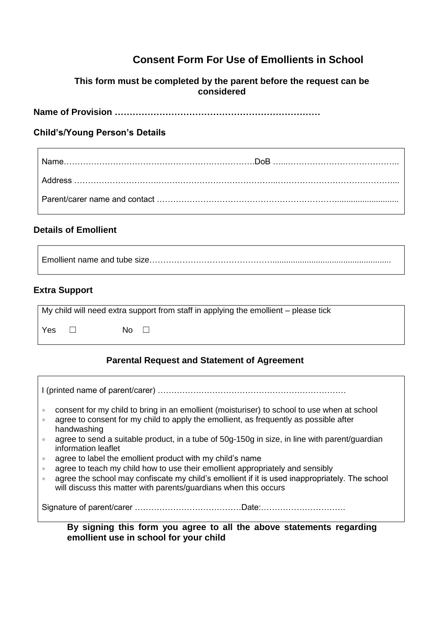## **Consent Form For Use of Emollients in School**

#### **This form must be completed by the parent before the request can be considered**

**Name of Provision ……………………………………………………………**

#### **Child's/Young Person's Details**

## **Details of Emollient**

Emollient name and tube size………………………………………....................................................

## **Extra Support**

| My child will need extra support from staff in applying the emollient – please tick |  |       |  |
|-------------------------------------------------------------------------------------|--|-------|--|
| Yes                                                                                 |  | No II |  |

#### **Parental Request and Statement of Agreement**

| consent for my child to bring in an emollient (moisturiser) to school to use when at school<br>$\hfill \textcircled{1}$<br>agree to consent for my child to apply the emollient, as frequently as possible after<br>$\hfill\textcircled{\ensuremath{\mathnormal{\sqcup}}\,}$<br>handwashing<br>agree to send a suitable product, in a tube of 50g-150g in size, in line with parent/guardian<br>$\bullet$<br>information leaflet<br>agree to label the emollient product with my child's name<br>$\oplus$<br>agree to teach my child how to use their emollient appropriately and sensibly<br>$\bullet$<br>agree the school may confiscate my child's emollient if it is used inappropriately. The school<br>$\bullet$ |  |  |  |
|------------------------------------------------------------------------------------------------------------------------------------------------------------------------------------------------------------------------------------------------------------------------------------------------------------------------------------------------------------------------------------------------------------------------------------------------------------------------------------------------------------------------------------------------------------------------------------------------------------------------------------------------------------------------------------------------------------------------|--|--|--|
| will discuss this matter with parents/guardians when this occurs                                                                                                                                                                                                                                                                                                                                                                                                                                                                                                                                                                                                                                                       |  |  |  |
| By signing this form you agree to all the above statements regarding<br>emollient use in school for your child                                                                                                                                                                                                                                                                                                                                                                                                                                                                                                                                                                                                         |  |  |  |